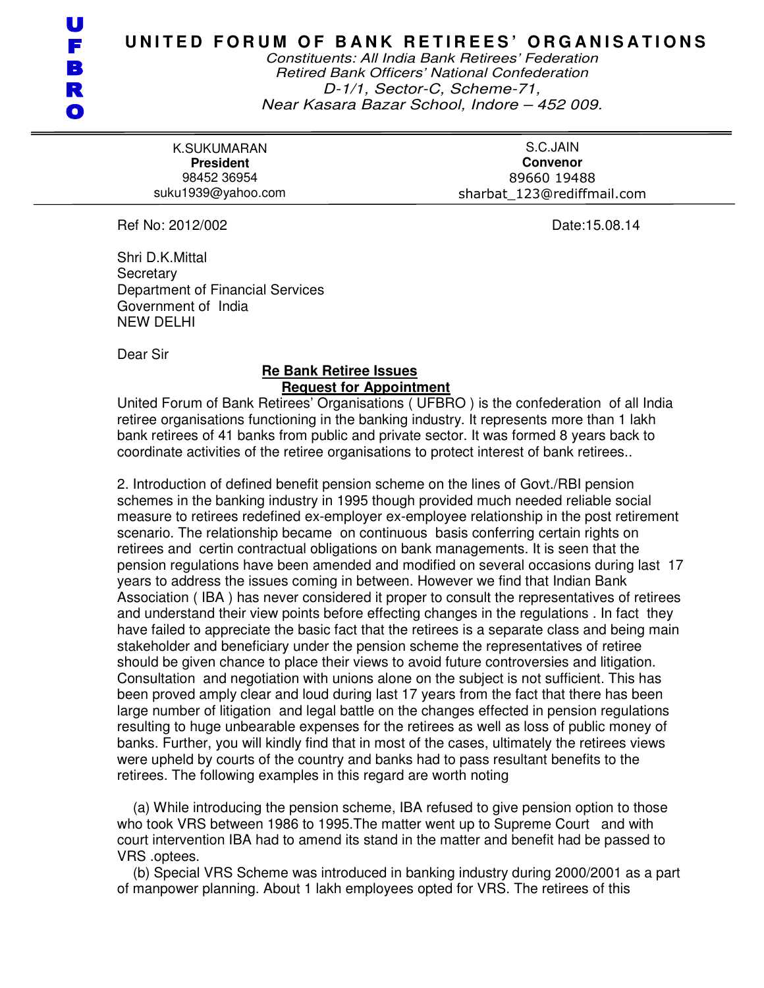Constituents: All India Bank Retirees' Federation Retired Bank Officers' National Confederation D-1/1, Sector-C, Scheme-71, Near Kasara Bazar School, Indore – 452 009.

K.SUKUMARAN **President**  98452 36954 suku1939@yahoo.com

S.C.JAIN **Convenor**  89660 19488 sharbat\_123@rediffmail.com

Ref No: 2012/002 **Date:15.08.14** 

Shri D.K.Mittal **Secretary** Department of Financial Services Government of India NEW DELHI

Dear Sir

## **Re Bank Retiree Issues Request for Appointment**

United Forum of Bank Retirees' Organisations ( UFBRO ) is the confederation of all India retiree organisations functioning in the banking industry. It represents more than 1 lakh bank retirees of 41 banks from public and private sector. It was formed 8 years back to coordinate activities of the retiree organisations to protect interest of bank retirees..

2. Introduction of defined benefit pension scheme on the lines of Govt./RBI pension schemes in the banking industry in 1995 though provided much needed reliable social measure to retirees redefined ex-employer ex-employee relationship in the post retirement scenario. The relationship became on continuous basis conferring certain rights on retirees and certin contractual obligations on bank managements. It is seen that the pension regulations have been amended and modified on several occasions during last 17 years to address the issues coming in between. However we find that Indian Bank Association ( IBA ) has never considered it proper to consult the representatives of retirees and understand their view points before effecting changes in the regulations . In fact they have failed to appreciate the basic fact that the retirees is a separate class and being main stakeholder and beneficiary under the pension scheme the representatives of retiree should be given chance to place their views to avoid future controversies and litigation. Consultation and negotiation with unions alone on the subject is not sufficient. This has been proved amply clear and loud during last 17 years from the fact that there has been large number of litigation and legal battle on the changes effected in pension regulations resulting to huge unbearable expenses for the retirees as well as loss of public money of banks. Further, you will kindly find that in most of the cases, ultimately the retirees views were upheld by courts of the country and banks had to pass resultant benefits to the retirees. The following examples in this regard are worth noting

 (a) While introducing the pension scheme, IBA refused to give pension option to those who took VRS between 1986 to 1995.The matter went up to Supreme Court and with court intervention IBA had to amend its stand in the matter and benefit had be passed to VRS .optees.

 (b) Special VRS Scheme was introduced in banking industry during 2000/2001 as a part of manpower planning. About 1 lakh employees opted for VRS. The retirees of this

U F В R  $\mathbf \Omega$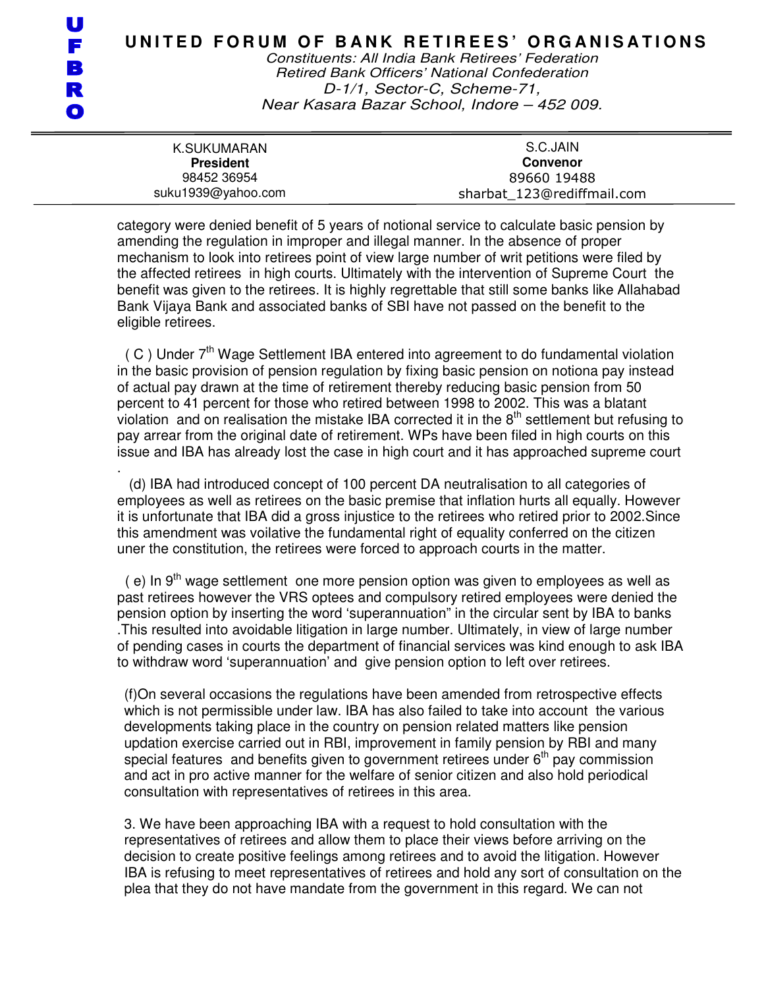Constituents: All India Bank Retirees' Federation Retired Bank Officers' National Confederation D-1/1, Sector-C, Scheme-71, Near Kasara Bazar School, Indore – 452 009.

| K.SUKUMARAN                     | S.C.JAIN                       |
|---------------------------------|--------------------------------|
| <b>President</b><br>98452 36954 | <b>Convenor</b><br>89660 19488 |
| suku1939@yahoo.com              | sharbat 123@rediffmail.com     |

category were denied benefit of 5 years of notional service to calculate basic pension by amending the regulation in improper and illegal manner. In the absence of proper mechanism to look into retirees point of view large number of writ petitions were filed by the affected retirees in high courts. Ultimately with the intervention of Supreme Court the benefit was given to the retirees. It is highly regrettable that still some banks like Allahabad Bank Vijaya Bank and associated banks of SBI have not passed on the benefit to the eligible retirees.

 $( C )$  Under  $7<sup>th</sup>$  Wage Settlement IBA entered into agreement to do fundamental violation in the basic provision of pension regulation by fixing basic pension on notiona pay instead of actual pay drawn at the time of retirement thereby reducing basic pension from 50 percent to 41 percent for those who retired between 1998 to 2002. This was a blatant violation and on realisation the mistake IBA corrected it in the  $8<sup>th</sup>$  settlement but refusing to pay arrear from the original date of retirement. WPs have been filed in high courts on this issue and IBA has already lost the case in high court and it has approached supreme court

. (d) IBA had introduced concept of 100 percent DA neutralisation to all categories of employees as well as retirees on the basic premise that inflation hurts all equally. However it is unfortunate that IBA did a gross injustice to the retirees who retired prior to 2002.Since this amendment was voilative the fundamental right of equality conferred on the citizen uner the constitution, the retirees were forced to approach courts in the matter.

 $($  e) In 9<sup>th</sup> wage settlement one more pension option was given to employees as well as past retirees however the VRS optees and compulsory retired employees were denied the pension option by inserting the word 'superannuation" in the circular sent by IBA to banks .This resulted into avoidable litigation in large number. Ultimately, in view of large number of pending cases in courts the department of financial services was kind enough to ask IBA to withdraw word 'superannuation' and give pension option to left over retirees.

(f)On several occasions the regulations have been amended from retrospective effects which is not permissible under law. IBA has also failed to take into account the various developments taking place in the country on pension related matters like pension updation exercise carried out in RBI, improvement in family pension by RBI and many special features and benefits given to government retirees under  $6<sup>th</sup>$  pay commission and act in pro active manner for the welfare of senior citizen and also hold periodical consultation with representatives of retirees in this area.

3. We have been approaching IBA with a request to hold consultation with the representatives of retirees and allow them to place their views before arriving on the decision to create positive feelings among retirees and to avoid the litigation. However IBA is refusing to meet representatives of retirees and hold any sort of consultation on the plea that they do not have mandate from the government in this regard. We can not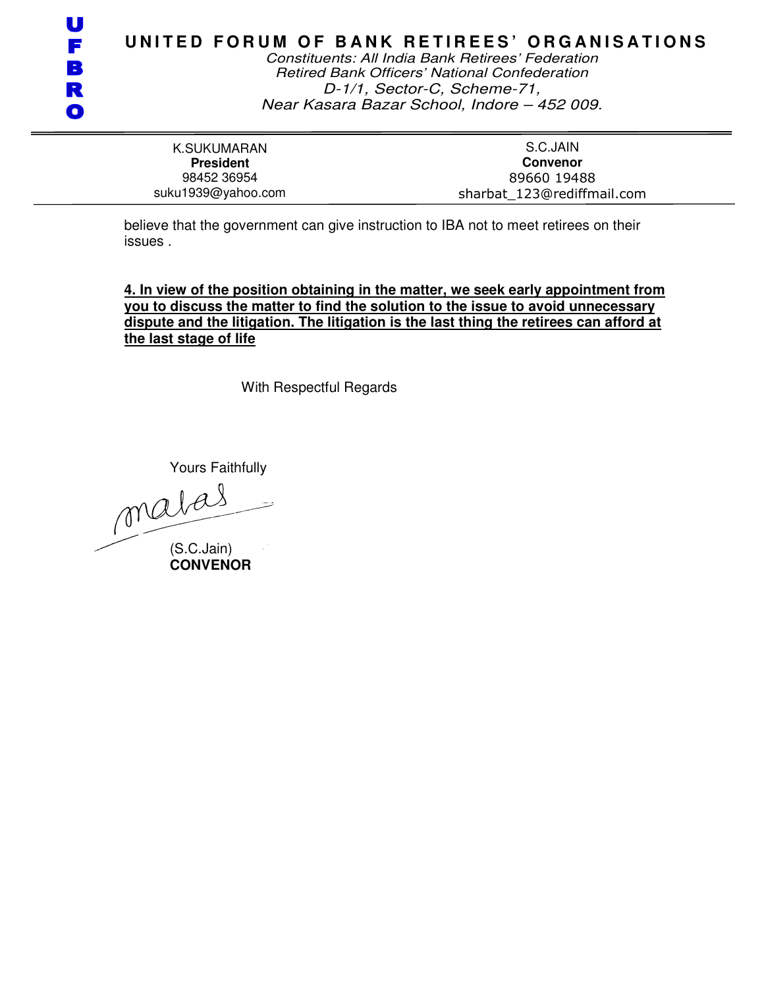| ਵ |
|---|
|   |
|   |

Constituents: All India Bank Retirees' Federation Retired Bank Officers' National Confederation D-1/1, Sector-C, Scheme-71, Near Kasara Bazar School, Indore – 452 009.

K.SUKUMARAN **President**  98452 36954 suku1939@yahoo.com

S.C.JAIN **Convenor**  89660 19488 sharbat\_123@rediffmail.com

believe that the government can give instruction to IBA not to meet retirees on their issues .

**4. In view of the position obtaining in the matter, we seek early appointment from you to discuss the matter to find the solution to the issue to avoid unnecessary dispute and the litigation. The litigation is the last thing the retirees can afford at the last stage of life** 

With Respectful Regards

Yours Faithfully (S.C.Jain)

**CONVENOR**